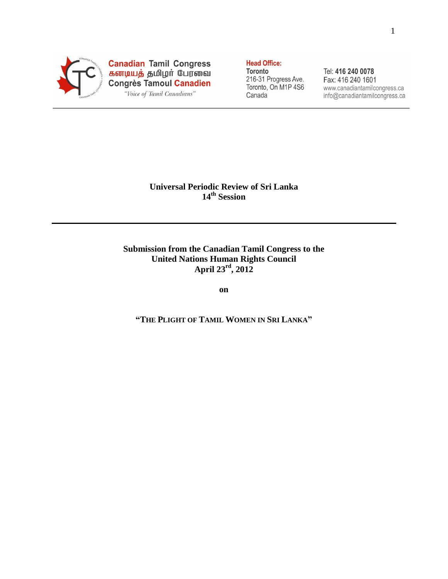

Canadian Tamil Congress<br>கனடியத் தமிழர் பேரவை<br>Congrès Tamoul Canadien "Voice of Tamil Canadians"

**Head Office:** Toronto

216-31 Progress Ave. Toronto, On M1P 4S6 Canada

Tel: 416 240 0078 Fax: 416 240 1601 www.canadiantamilcongress.ca info@canadiantamilcongress.ca

# **Universal Periodic Review of Sri Lanka 14th Session**

## **Submission from the Canadian Tamil Congress to the United Nations Human Rights Council April 23rd, 2012**

**on**

**"THE PLIGHT OF TAMIL WOMEN IN SRI LANKA"**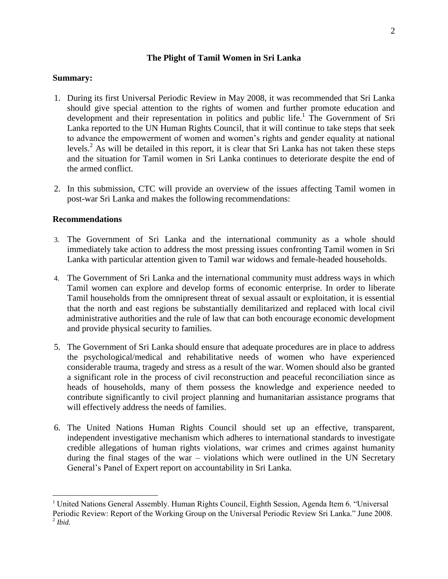### **The Plight of Tamil Women in Sri Lanka**

### **Summary:**

- 1. During its first Universal Periodic Review in May 2008, it was recommended that Sri Lanka should give special attention to the rights of women and further promote education and development and their representation in politics and public life.<sup>1</sup> The Government of Sri Lanka reported to the UN Human Rights Council, that it will continue to take steps that seek to advance the empowerment of women and women's rights and gender equality at national levels.<sup>2</sup> As will be detailed in this report, it is clear that Sri Lanka has not taken these steps and the situation for Tamil women in Sri Lanka continues to deteriorate despite the end of the armed conflict.
- 2. In this submission, CTC will provide an overview of the issues affecting Tamil women in post-war Sri Lanka and makes the following recommendations:

## **Recommendations**

- 3. The Government of Sri Lanka and the international community as a whole should immediately take action to address the most pressing issues confronting Tamil women in Sri Lanka with particular attention given to Tamil war widows and female-headed households.
- 4. The Government of Sri Lanka and the international community must address ways in which Tamil women can explore and develop forms of economic enterprise. In order to liberate Tamil households from the omnipresent threat of sexual assault or exploitation, it is essential that the north and east regions be substantially demilitarized and replaced with local civil administrative authorities and the rule of law that can both encourage economic development and provide physical security to families.
- 5. The Government of Sri Lanka should ensure that adequate procedures are in place to address the psychological/medical and rehabilitative needs of women who have experienced considerable trauma, tragedy and stress as a result of the war. Women should also be granted a significant role in the process of civil reconstruction and peaceful reconciliation since as heads of households, many of them possess the knowledge and experience needed to contribute significantly to civil project planning and humanitarian assistance programs that will effectively address the needs of families.
- 6. The United Nations Human Rights Council should set up an effective, transparent, independent investigative mechanism which adheres to international standards to investigate credible allegations of human rights violations, war crimes and crimes against humanity during the final stages of the war – violations which were outlined in the UN Secretary General's Panel of Expert report on accountability in Sri Lanka.

<sup>&</sup>lt;sup>1</sup> United Nations General Assembly. Human Rights Council, Eighth Session, Agenda Item 6. "Universal Periodic Review: Report of the Working Group on the Universal Periodic Review Sri Lanka." June 2008. 2 *Ibid.*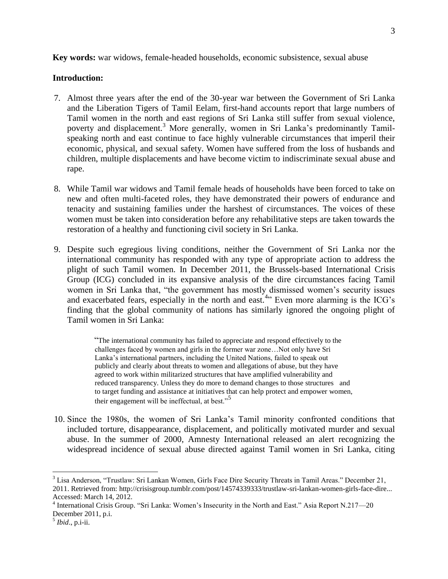**Key words:** war widows, female-headed households, economic subsistence, sexual abuse

#### **Introduction:**

- 7. Almost three years after the end of the 30-year war between the Government of Sri Lanka and the Liberation Tigers of Tamil Eelam, first-hand accounts report that large numbers of Tamil women in the north and east regions of Sri Lanka still suffer from sexual violence, poverty and displacement.<sup>3</sup> More generally, women in Sri Lanka's predominantly Tamilspeaking north and east continue to face highly vulnerable circumstances that imperil their economic, physical, and sexual safety. Women have suffered from the loss of husbands and children, multiple displacements and have become victim to indiscriminate sexual abuse and rape.
- 8. While Tamil war widows and Tamil female heads of households have been forced to take on new and often multi-faceted roles, they have demonstrated their powers of endurance and tenacity and sustaining families under the harshest of circumstances. The voices of these women must be taken into consideration before any rehabilitative steps are taken towards the restoration of a healthy and functioning civil society in Sri Lanka.
- 9. Despite such egregious living conditions, neither the Government of Sri Lanka nor the international community has responded with any type of appropriate action to address the plight of such Tamil women. In December 2011, the Brussels-based International Crisis Group (ICG) concluded in its expansive analysis of the dire circumstances facing Tamil women in Sri Lanka that, "the government has mostly dismissed women's security issues and exacerbated fears, especially in the north and east.<sup>4</sup><sup>1</sup> Even more alarming is the ICG's finding that the global community of nations has similarly ignored the ongoing plight of Tamil women in Sri Lanka:

 ―The international community has failed to appreciate and respond effectively to the challenges faced by women and girls in the former war zone…Not only have Sri Lanka's international partners, including the United Nations, failed to speak out publicly and clearly about threats to women and allegations of abuse, but they have agreed to work within militarized structures that have amplified vulnerability and reduced transparency. Unless they do more to demand changes to those structures and to target funding and assistance at initiatives that can help protect and empower women, their engagement will be ineffectual, at best."<sup>5</sup>

10. Since the 1980s, the women of Sri Lanka's Tamil minority confronted conditions that included torture, disappearance, displacement, and politically motivated murder and sexual abuse. In the summer of 2000, Amnesty International released an alert recognizing the widespread incidence of sexual abuse directed against Tamil women in Sri Lanka, citing

3

<sup>&</sup>lt;sup>3</sup> Lisa Anderson, "Trustlaw: Sri Lankan Women, Girls Face Dire Security Threats in Tamil Areas." December 21, 2011. Retrieved from: http://crisisgroup.tumblr.com/post/14574339333/trustlaw-sri-lankan-women-girls-face-dire... Accessed: March 14, 2012.

<sup>&</sup>lt;sup>4</sup> International Crisis Group. "Sri Lanka: Women's Insecurity in the North and East." Asia Report N.217-20 December 2011, p.i.

<sup>5</sup> *Ibid*., p.i-ii.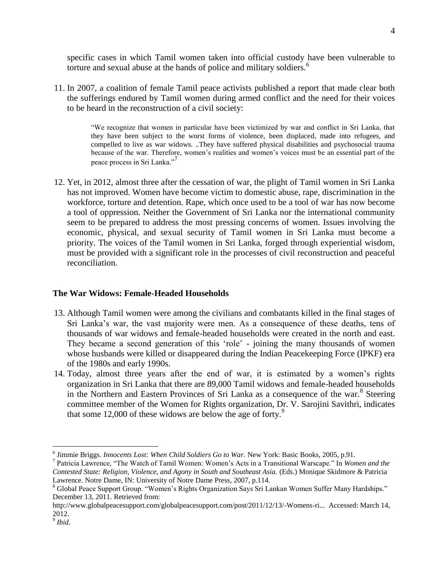specific cases in which Tamil women taken into official custody have been vulnerable to torture and sexual abuse at the hands of police and military soldiers.<sup>6</sup>

11. In 2007, a coalition of female Tamil peace activists published a report that made clear both the sufferings endured by Tamil women during armed conflict and the need for their voices to be heard in the reconstruction of a civil society:

> ―We recognize that women in particular have been victimized by war and conflict in Sri Lanka, that they have been subject to the worst forms of violence, been displaced, made into refugees, and compelled to live as war widows. ..They have suffered physical disabilities and psychosocial trauma because of the war. Therefore, women's realities and women's voices must be an essential part of the peace process in Sri Lanka."<sup>7</sup>

12. Yet, in 2012, almost three after the cessation of war, the plight of Tamil women in Sri Lanka has not improved. Women have become victim to domestic abuse, rape, discrimination in the workforce, torture and detention. Rape, which once used to be a tool of war has now become a tool of oppression. Neither the Government of Sri Lanka nor the international community seem to be prepared to address the most pressing concerns of women. Issues involving the economic, physical, and sexual security of Tamil women in Sri Lanka must become a priority. The voices of the Tamil women in Sri Lanka, forged through experiential wisdom, must be provided with a significant role in the processes of civil reconstruction and peaceful reconciliation.

#### **The War Widows: Female-Headed Households**

- 13. Although Tamil women were among the civilians and combatants killed in the final stages of Sri Lanka's war, the vast majority were men. As a consequence of these deaths, tens of thousands of war widows and female-headed households were created in the north and east. They became a second generation of this 'role' - joining the many thousands of women whose husbands were killed or disappeared during the Indian Peacekeeping Force (IPKF) era of the 1980s and early 1990s.
- 14. Today, almost three years after the end of war, it is estimated by a women's rights organization in Sri Lanka that there are 89,000 Tamil widows and female-headed households in the Northern and Eastern Provinces of Sri Lanka as a consequence of the war. $8$  Steering committee member of the Women for Rights organization, Dr. V. Sarojini Savithri, indicates that some  $12,000$  of these widows are below the age of forty.<sup>9</sup>

 6 Jimmie Briggs. *Innocents Lost: When Child Soldiers Go to War.* New York: Basic Books, 2005, p.91.

<sup>&</sup>lt;sup>7</sup> Patricia Lawrence, "The Watch of Tamil Women: Women's Acts in a Transitional Warscape." In *Women and the Contested State: Religion, Violence, and Agony in South and Southeast Asia.* (Eds.) Monique Skidmore & Patricia Lawrence. Notre Dame, IN: University of Notre Dame Press, 2007, p.114.

<sup>&</sup>lt;sup>8</sup> Global Peace Support Group. "Women's Rights Organization Says Sri Lankan Women Suffer Many Hardships." December 13, 2011. Retrieved from:

http://www.globalpeacesupport.com/globalpeacesupport.com/post/2011/12/13/-Womens-ri... Accessed: March 14, 2012.

<sup>9</sup> *Ibid*.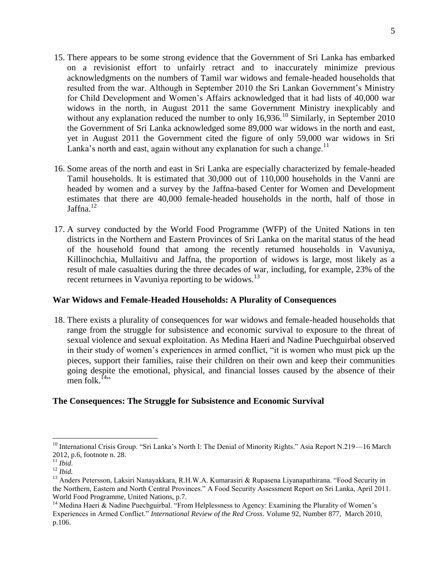- 15. There appears to be some strong evidence that the Government of Sri Lanka has embarked on a revisionist effort to unfairly retract and to inaccurately minimize previous acknowledgments on the numbers of Tamil war widows and female-headed households that resulted from the war. Although in September 2010 the Sri Lankan Government's Ministry for Child Development and Women's Affairs acknowledged that it had lists of 40,000 war widows in the north, in August 2011 the same Government Ministry inexplicably and without any explanation reduced the number to only  $16,936$ .<sup>10</sup> Similarly, in September 2010 the Government of Sri Lanka acknowledged some 89,000 war widows in the north and east, yet in August 2011 the Government cited the figure of only 59,000 war widows in Sri Lanka's north and east, again without any explanation for such a change.<sup>11</sup>
- 16. Some areas of the north and east in Sri Lanka are especially characterized by female-headed Tamil households. It is estimated that 30,000 out of 110,000 households in the Vanni are headed by women and a survey by the Jaffna-based Center for Women and Development estimates that there are 40,000 female-headed households in the north, half of those in Jaffna. $12$
- 17. A survey conducted by the World Food Programme (WFP) of the United Nations in ten districts in the Northern and Eastern Provinces of Sri Lanka on the marital status of the head of the household found that among the recently returned households in Vavuniya, Killinochchia, Mullaitivu and Jaffna, the proportion of widows is large, most likely as a result of male casualties during the three decades of war, including, for example, 23% of the recent returnees in Vavuniya reporting to be widows.<sup>13</sup>

#### **War Widows and Female-Headed Households: A Plurality of Consequences**

18. There exists a plurality of consequences for war widows and female-headed households that range from the struggle for subsistence and economic survival to exposure to the threat of sexual violence and sexual exploitation. As Medina Haeri and Nadine Puechguirbal observed in their study of women's experiences in armed conflict, "it is women who must pick up the pieces, support their families, raise their children on their own and keep their communities going despite the emotional, physical, and financial losses caused by the absence of their men folk $^{[4]}$ 

# **The Consequences: The Struggle for Subsistence and Economic Survival**

<sup>&</sup>lt;sup>10</sup> International Crisis Group. "Sri Lanka's North I: The Denial of Minority Rights." Asia Report N.219—16 March 2012, p.6, footnote n. 28.

 $\overline{11}$  *Ibid.* 

<sup>12</sup> *Ibid.*

<sup>&</sup>lt;sup>13</sup> Anders Petersson, Laksiri Nanayakkara, R.H.W.A. Kumarasiri & Rupasena Liyanapathirana. "Food Security in the Northern, Eastern and North Central Provinces." A Food Security Assessment Report on Sri Lanka, April 2011. World Food Programme, United Nations, p.7.

<sup>&</sup>lt;sup>14</sup> Medina Haeri & Nadine Puechguirbal. "From Helplessness to Agency: Examining the Plurality of Women's Experiences in Armed Conflict.‖ *International Review of the Red Cross*. Volume 92, Number 877, March 2010, p.106.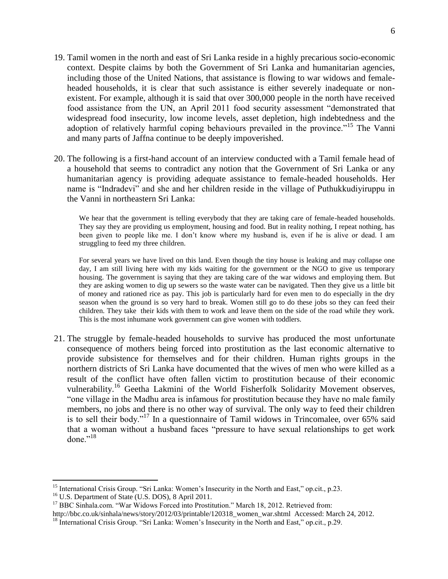- 19. Tamil women in the north and east of Sri Lanka reside in a highly precarious socio-economic context. Despite claims by both the Government of Sri Lanka and humanitarian agencies, including those of the United Nations, that assistance is flowing to war widows and femaleheaded households, it is clear that such assistance is either severely inadequate or nonexistent. For example, although it is said that over 300,000 people in the north have received food assistance from the UN, an April 2011 food security assessment "demonstrated that widespread food insecurity, low income levels, asset depletion, high indebtedness and the adoption of relatively harmful coping behaviours prevailed in the province."<sup>15</sup> The Vanni and many parts of Jaffna continue to be deeply impoverished.
- 20. The following is a first-hand account of an interview conducted with a Tamil female head of a household that seems to contradict any notion that the Government of Sri Lanka or any humanitarian agency is providing adequate assistance to female-headed households. Her name is "Indradevi" and she and her children reside in the village of Puthukkudiyiruppu in the Vanni in northeastern Sri Lanka:

We hear that the government is telling everybody that they are taking care of female-headed households. They say they are providing us employment, housing and food. But in reality nothing, I repeat nothing, has been given to people like me. I don't know where my husband is, even if he is alive or dead. I am struggling to feed my three children.

For several years we have lived on this land. Even though the tiny house is leaking and may collapse one day, I am still living here with my kids waiting for the government or the NGO to give us temporary housing. The government is saying that they are taking care of the war widows and employing them. But they are asking women to dig up sewers so the waste water can be navigated. Then they give us a little bit of money and rationed rice as pay. This job is particularly hard for even men to do especially in the dry season when the ground is so very hard to break. Women still go to do these jobs so they can feed their children. They take their kids with them to work and leave them on the side of the road while they work. This is the most inhumane work government can give women with toddlers.

21. The struggle by female-headed households to survive has produced the most unfortunate consequence of mothers being forced into prostitution as the last economic alternative to provide subsistence for themselves and for their children. Human rights groups in the northern districts of Sri Lanka have documented that the wives of men who were killed as a result of the conflict have often fallen victim to prostitution because of their economic vulnerability.<sup>16</sup> Geetha Lakmini of the World Fisherfolk Solidarity Movement observes, " one village in the Madhu area is infamous for prostitution because they have no male family members, no jobs and there is no other way of survival. The only way to feed their children is to sell their body."<sup>17</sup> In a questionnaire of Tamil widows in Trincomalee, over 65% said that a woman without a husband faces "pressure to have sexual relationships to get work done." $^{18}$ 

<sup>&</sup>lt;sup>15</sup> International Crisis Group. "Sri Lanka: Women's Insecurity in the North and East," op.cit., p.23.

<sup>&</sup>lt;sup>16</sup> U.S. Department of State (U.S. DOS), 8 April 2011.

<sup>&</sup>lt;sup>17</sup> BBC Sinhala.com. "War Widows Forced into Prostitution." March 18, 2012. Retrieved from:

http://bbc.co.uk/sinhala/news/story/2012/03/printable/120318\_women\_war.shtml Accessed: March 24, 2012.

<sup>&</sup>lt;sup>18</sup> International Crisis Group. "Sri Lanka: Women's Insecurity in the North and East," op.cit., p.29.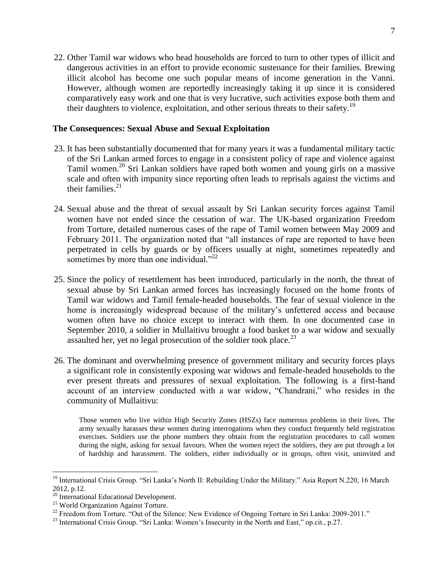22. Other Tamil war widows who head households are forced to turn to other types of illicit and dangerous activities in an effort to provide economic sustenance for their families. Brewing illicit alcohol has become one such popular means of income generation in the Vanni. However, although women are reportedly increasingly taking it up since it is considered comparatively easy work and one that is very lucrative, such activities expose both them and their daughters to violence, exploitation, and other serious threats to their safety.<sup>19</sup>

#### **The Consequences: Sexual Abuse and Sexual Exploitation**

- 23. It has been substantially documented that for many years it was a fundamental military tactic of the Sri Lankan armed forces to engage in a consistent policy of rape and violence against Tamil women.<sup>20</sup> Sri Lankan soldiers have raped both women and young girls on a massive scale and often with impunity since reporting often leads to reprisals against the victims and their families. $21$
- 24. Sexual abuse and the threat of sexual assault by Sri Lankan security forces against Tamil women have not ended since the cessation of war. The UK-based organization Freedom from Torture, detailed numerous cases of the rape of Tamil women between May 2009 and February 2011. The organization noted that "all instances of rape are reported to have been perpetrated in cells by guards or by officers usually at night, sometimes repeatedly and sometimes by more than one individual."<sup>22</sup>
- 25. Since the policy of resettlement has been introduced, particularly in the north, the threat of sexual abuse by Sri Lankan armed forces has increasingly focused on the home fronts of Tamil war widows and Tamil female-headed households. The fear of sexual violence in the home is increasingly widespread because of the military's unfettered access and because women often have no choice except to interact with them. In one documented case in September 2010, a soldier in Mullaitivu brought a food basket to a war widow and sexually assaulted her, yet no legal prosecution of the soldier took place.<sup>23</sup>
- 26. The dominant and overwhelming presence of government military and security forces plays a significant role in consistently exposing war widows and female-headed households to the ever present threats and pressures of sexual exploitation. The following is a first-hand account of an interview conducted with a war widow, "Chandrani," who resides in the community of Mullaitivu:

Those women who live within High Security Zones (HSZs) face numerous problems in their lives. The army sexually harasses these women during interrogations when they conduct frequently held registration exercises. Soldiers use the phone numbers they obtain from the registration procedures to call women during the night, asking for sexual favours. When the women reject the soldiers, they are put through a lot of hardship and harassment. The soldiers, either individually or in groups, often visit, uninvited and

 $19$  International Crisis Group. "Sri Lanka's North II: Rebuilding Under the Military." Asia Report N.220, 16 March 2012, p.12.

 $^{2012, p.12.}_{20}$  International Educational Development.

<sup>&</sup>lt;sup>21</sup> World Organization Against Torture.

 $22$  Freedom from Torture. "Out of the Silence: New Evidence of Ongoing Torture in Sri Lanka: 2009-2011."

<sup>&</sup>lt;sup>23</sup> International Crisis Group. "Sri Lanka: Women's Insecurity in the North and East," op.cit., p.27.